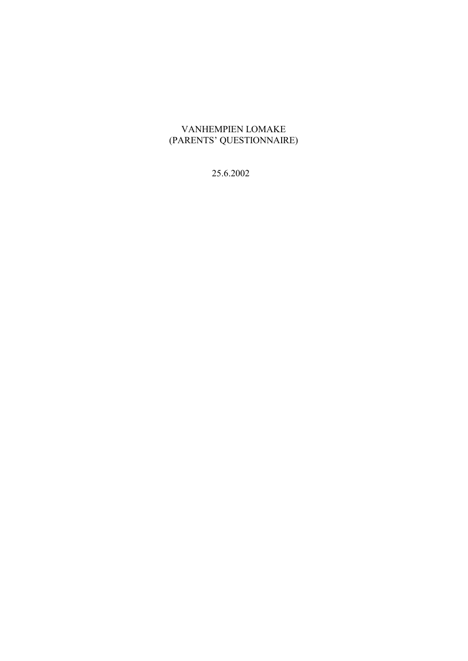# VANHEMPIEN LOMAKE (PARENTS' QUESTIONNAIRE)

25.6.2002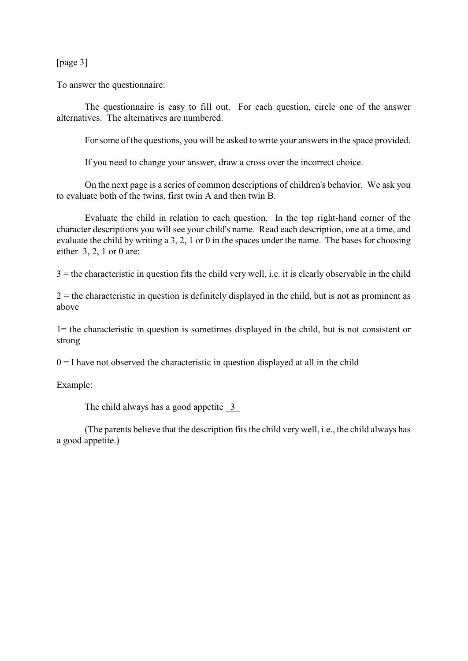[page 3]

To answer the questionnaire:

The questionnaire is easy to fill out. For each question, circle one of the answer alternatives. The alternatives are numbered.

For some of the questions, you will be asked to write your answers in the space provided.

If you need to change your answer, draw a cross over the incorrect choice.

On the next page is a series of common descriptions of children's behavior. We ask you to evaluate both of the twins, first twin A and then twin B.

Evaluate the child in relation to each question. In the top right-hand corner of the character descriptions you will see your child's name. Read each description, one at a time, and evaluate the child by writing a 3, 2, 1 or 0 in the spaces under the name. The bases for choosing either 3, 2, 1 or 0 are:

 $3$  = the characteristic in question fits the child very well, i.e. it is clearly observable in the child

 $2 =$  the characteristic in question is definitely displayed in the child, but is not as prominent as above

1= the characteristic in question is sometimes displayed in the child, but is not consistent or strong

 $0 = I$  have not observed the characteristic in question displayed at all in the child

Example:

The child always has a good appetite 3

(The parents believe that the description fits the child very well, i.e., the child always has a good appetite.)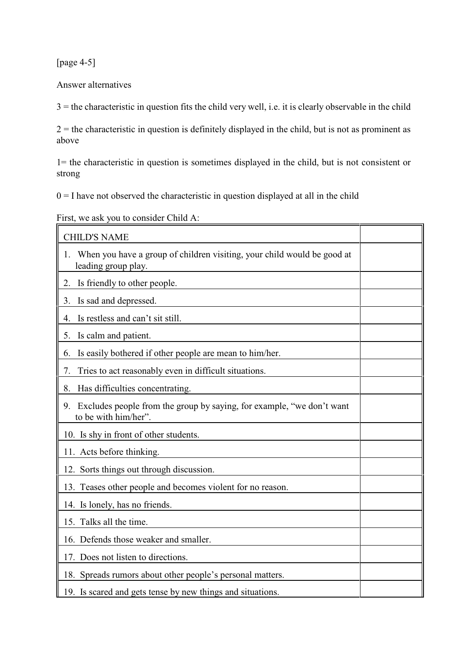[page 4-5]

Answer alternatives

 $3$  = the characteristic in question fits the child very well, i.e. it is clearly observable in the child

 $2 =$  the characteristic in question is definitely displayed in the child, but is not as prominent as above

1= the characteristic in question is sometimes displayed in the child, but is not consistent or strong

 $0 = I$  have not observed the characteristic in question displayed at all in the child

First, we ask you to consider Child A:

| <b>CHILD'S NAME</b>                                                                                  |  |
|------------------------------------------------------------------------------------------------------|--|
| When you have a group of children visiting, your child would be good at<br>1.<br>leading group play. |  |
| Is friendly to other people.<br>2.                                                                   |  |
| Is sad and depressed.<br>3.                                                                          |  |
| Is restless and can't sit still.<br>4.                                                               |  |
| Is calm and patient.<br>5.                                                                           |  |
| Is easily bothered if other people are mean to him/her.<br>6.                                        |  |
| Tries to act reasonably even in difficult situations.<br>7.                                          |  |
| Has difficulties concentrating.<br>8.                                                                |  |
| Excludes people from the group by saying, for example, "we don't want<br>9.<br>to be with him/her".  |  |
| 10. Is shy in front of other students.                                                               |  |
| 11. Acts before thinking.                                                                            |  |
| 12. Sorts things out through discussion.                                                             |  |
| 13. Teases other people and becomes violent for no reason.                                           |  |
| 14. Is lonely, has no friends.                                                                       |  |
| 15. Talks all the time.                                                                              |  |
| 16. Defends those weaker and smaller.                                                                |  |
| 17. Does not listen to directions.                                                                   |  |
| 18. Spreads rumors about other people's personal matters.                                            |  |
| 19. Is scared and gets tense by new things and situations.                                           |  |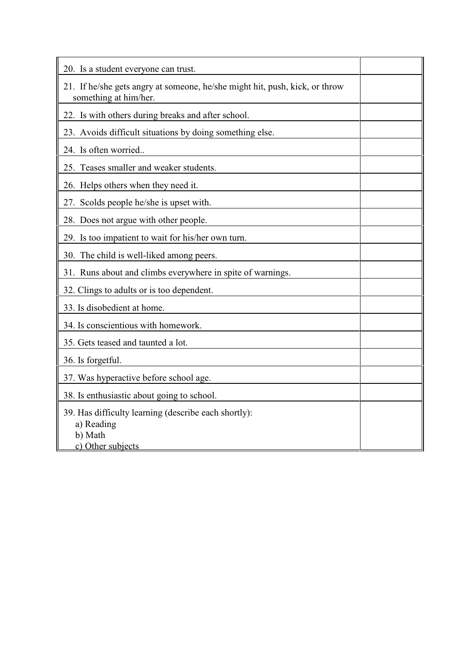| 20. Is a student everyone can trust.                                                                 |
|------------------------------------------------------------------------------------------------------|
| 21. If he/she gets angry at someone, he/she might hit, push, kick, or throw<br>something at him/her. |
| 22. Is with others during breaks and after school.                                                   |
| 23. Avoids difficult situations by doing something else.                                             |
| 24. Is often worried                                                                                 |
| 25. Teases smaller and weaker students.                                                              |
| 26. Helps others when they need it.                                                                  |
| 27. Scolds people he/she is upset with.                                                              |
| 28. Does not argue with other people.                                                                |
| 29. Is too impatient to wait for his/her own turn.                                                   |
| 30. The child is well-liked among peers.                                                             |
| 31. Runs about and climbs everywhere in spite of warnings.                                           |
| 32. Clings to adults or is too dependent.                                                            |
| 33. Is disobedient at home.                                                                          |
| 34. Is conscientious with homework.                                                                  |
| 35. Gets teased and taunted a lot.                                                                   |
| 36. Is forgetful.                                                                                    |
| 37. Was hyperactive before school age.                                                               |
| 38. Is enthusiastic about going to school.                                                           |
| 39. Has difficulty learning (describe each shortly):<br>a) Reading<br>b) Math<br>c) Other subjects   |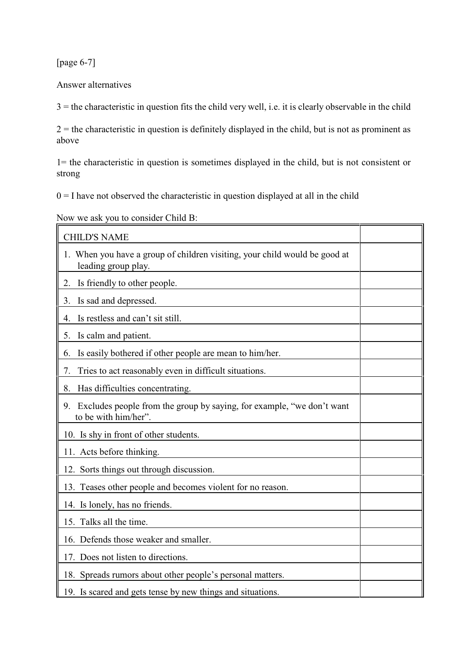[page 6-7]

Answer alternatives

 $3$  = the characteristic in question fits the child very well, i.e. it is clearly observable in the child

 $2 =$  the characteristic in question is definitely displayed in the child, but is not as prominent as above

1= the characteristic in question is sometimes displayed in the child, but is not consistent or strong

 $0 = I$  have not observed the characteristic in question displayed at all in the child

Now we ask you to consider Child B:

| <b>CHILD'S NAME</b>                                                                                 |  |
|-----------------------------------------------------------------------------------------------------|--|
| 1. When you have a group of children visiting, your child would be good at<br>leading group play.   |  |
| Is friendly to other people.<br>2.                                                                  |  |
| Is sad and depressed.<br>3.                                                                         |  |
| Is restless and can't sit still.<br>4.                                                              |  |
| Is calm and patient.<br>5.                                                                          |  |
| Is easily bothered if other people are mean to him/her.<br>6.                                       |  |
| Tries to act reasonably even in difficult situations.<br>7.                                         |  |
| Has difficulties concentrating.<br>8.                                                               |  |
| Excludes people from the group by saying, for example, "we don't want<br>9.<br>to be with him/her". |  |
| 10. Is shy in front of other students.                                                              |  |
| 11. Acts before thinking.                                                                           |  |
| 12. Sorts things out through discussion.                                                            |  |
| 13. Teases other people and becomes violent for no reason.                                          |  |
| 14. Is lonely, has no friends.                                                                      |  |
| 15. Talks all the time.                                                                             |  |
| 16. Defends those weaker and smaller.                                                               |  |
| 17. Does not listen to directions.                                                                  |  |
| 18. Spreads rumors about other people's personal matters.                                           |  |
| 19. Is scared and gets tense by new things and situations.                                          |  |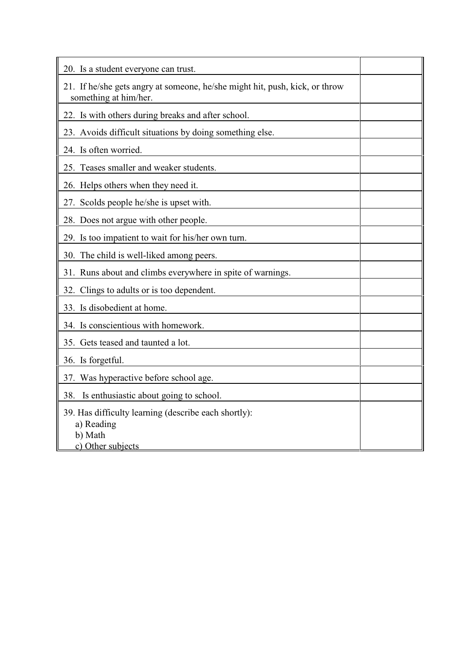| 20. Is a student everyone can trust.                                                                 |
|------------------------------------------------------------------------------------------------------|
| 21. If he/she gets angry at someone, he/she might hit, push, kick, or throw<br>something at him/her. |
| 22. Is with others during breaks and after school.                                                   |
| 23. Avoids difficult situations by doing something else.                                             |
| 24. Is often worried.                                                                                |
| 25. Teases smaller and weaker students.                                                              |
| 26. Helps others when they need it.                                                                  |
| 27. Scolds people he/she is upset with.                                                              |
| 28. Does not argue with other people.                                                                |
| 29. Is too impatient to wait for his/her own turn.                                                   |
| 30. The child is well-liked among peers.                                                             |
| 31. Runs about and climbs everywhere in spite of warnings.                                           |
| 32. Clings to adults or is too dependent.                                                            |
| 33. Is disobedient at home.                                                                          |
| 34. Is conscientious with homework.                                                                  |
| 35. Gets teased and taunted a lot.                                                                   |
| 36. Is forgetful.                                                                                    |
| 37. Was hyperactive before school age.                                                               |
| Is enthusiastic about going to school.<br>38.                                                        |
| 39. Has difficulty learning (describe each shortly):<br>a) Reading<br>b) Math<br>c) Other subjects   |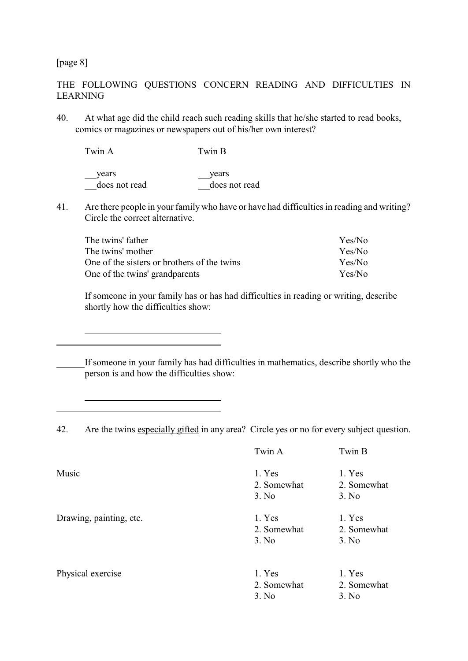[page 8]

l

 $\overline{a}$ 

### THE FOLLOWING QUESTIONS CONCERN READING AND DIFFICULTIES IN LEARNING

40. At what age did the child reach such reading skills that he/she started to read books, comics or magazines or newspapers out of his/her own interest?

Twin A Twin B years years years does not read does not read

41. Are there people in your family who have or have had difficulties in reading and writing? Circle the correct alternative.

| The twins' father                           | Yes/No |
|---------------------------------------------|--------|
| The twins' mother                           | Yes/No |
| One of the sisters or brothers of the twins | Yes/No |
| One of the twins' grandparents              | Yes/No |

If someone in your family has or has had difficulties in reading or writing, describe shortly how the difficulties show:

If someone in your family has had difficulties in mathematics, describe shortly who the person is and how the difficulties show:

42. Are the twins especially gifted in any area? Circle yes or no for every subject question.

|                         | Twin A                         | Twin B                         |
|-------------------------|--------------------------------|--------------------------------|
| Music                   | 1. Yes<br>2. Somewhat          | 1. Yes<br>2. Somewhat          |
|                         | 3. No                          | 3. No                          |
| Drawing, painting, etc. | 1. Yes<br>2. Somewhat<br>3. No | 1. Yes<br>2. Somewhat<br>3. No |
| Physical exercise       | 1. Yes<br>2. Somewhat<br>3. No | 1. Yes<br>2. Somewhat<br>3. No |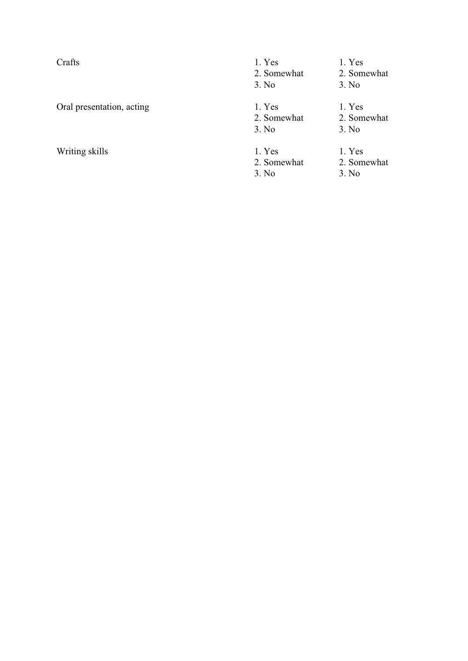Crafts 1. Yes 1. Yes 1. Yes 2. Somewhat 2. Somewhat 3. No<br>3. No 3. No Oral presentation, acting  $\begin{array}{ccc} 1. & \text{Yes} & 1. & \text{Yes} \\ 2. & \text{Somewhat} & 2. & \text{Somewhat} \end{array}$ 2. Somewhat 3. No 3. No Writing skills 1. Yes 1. Yes 1. Yes 2. Somewhat 2. Somewhat 2. Somewhat 2. Somewhat 2. Somewhat  $\frac{1}{2}$ 2. Somewhat 2. Son<br>3. No 3. No

3. No

- 
- 
- 
-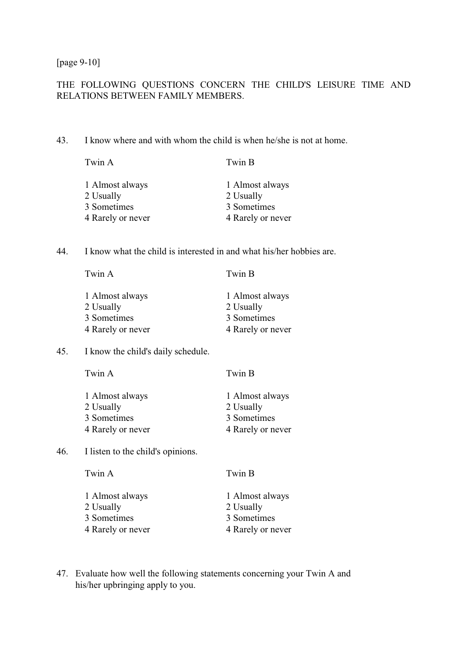[page 9-10]

### THE FOLLOWING QUESTIONS CONCERN THE CHILD'S LEISURE TIME AND RELATIONS BETWEEN FAMILY MEMBERS.

43. I know where and with whom the child is when he/she is not at home.

| Twin A            | Twin B            |
|-------------------|-------------------|
| 1 Almost always   | 1 Almost always   |
| 2 Usually         | 2 Usually         |
| 3 Sometimes       | 3 Sometimes       |
| 4 Rarely or never | 4 Rarely or never |

44. I know what the child is interested in and what his/her hobbies are.

| 1 Almost always   | 1 Almost always   |
|-------------------|-------------------|
| 2 Usually         | 2 Usually         |
| 3 Sometimes       | 3 Sometimes       |
| 4 Rarely or never | 4 Rarely or never |

Twin A Twin B

45. I know the child's daily schedule.

| Twin A            | Twin B            |
|-------------------|-------------------|
| 1 Almost always   | 1 Almost always   |
| 2 Usually         | 2 Usually         |
| 3 Sometimes       | 3 Sometimes       |
| 4 Rarely or never | 4 Rarely or never |

46. I listen to the child's opinions.

| 1 Almost always   | 1 Almost always   |
|-------------------|-------------------|
| 2 Usually         | 2 Usually         |
| 3 Sometimes       | 3 Sometimes       |
| 4 Rarely or never | 4 Rarely or never |

Twin A Twin B

47. Evaluate how well the following statements concerning your Twin A and his/her upbringing apply to you.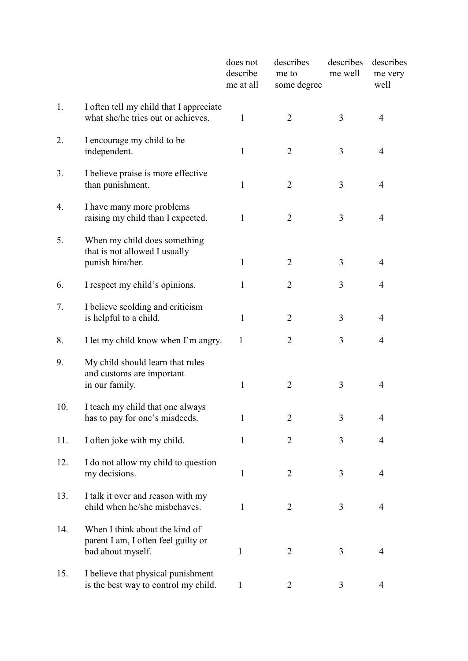|     |                                                                                            | does not<br>describe<br>me at all | describes<br>me to<br>some degree | describes<br>me well | describes<br>me very<br>well |  |
|-----|--------------------------------------------------------------------------------------------|-----------------------------------|-----------------------------------|----------------------|------------------------------|--|
| 1.  | I often tell my child that I appreciate<br>what she/he tries out or achieves.              | 1                                 | $\overline{2}$                    | 3                    | $\overline{4}$               |  |
| 2.  | I encourage my child to be<br>independent.                                                 | $\mathbf{1}$                      | $\overline{2}$                    | 3                    | $\overline{4}$               |  |
| 3.  | I believe praise is more effective<br>than punishment.                                     | 1                                 | $\overline{2}$                    | 3                    | 4                            |  |
| 4.  | I have many more problems<br>raising my child than I expected.                             | $\mathbf{1}$                      | $\overline{2}$                    | 3                    | 4                            |  |
| 5.  | When my child does something<br>that is not allowed I usually<br>punish him/her.           | $\mathbf{1}$                      | $\overline{2}$                    | 3                    | 4                            |  |
| 6.  | I respect my child's opinions.                                                             | 1                                 | $\overline{2}$                    | 3                    | 4                            |  |
| 7.  | I believe scolding and criticism<br>is helpful to a child.                                 | $\mathbf{1}$                      | $\overline{2}$                    | 3                    | 4                            |  |
| 8.  | I let my child know when I'm angry.                                                        | 1                                 | $\overline{2}$                    | 3                    | 4                            |  |
| 9.  | My child should learn that rules<br>and customs are important<br>in our family.            | $\mathbf{1}$                      | $\overline{2}$                    | 3                    | 4                            |  |
| 10. | I teach my child that one always<br>has to pay for one's misdeeds.                         | $\mathbf{1}$                      | $\overline{2}$                    | 3                    | 4                            |  |
| 11. | I often joke with my child.                                                                | $\mathbf{1}$                      | $\overline{2}$                    | 3                    | 4                            |  |
| 12. | I do not allow my child to question<br>my decisions.                                       | $\mathbf{1}$                      | $\overline{2}$                    | 3                    | $\overline{4}$               |  |
| 13. | I talk it over and reason with my<br>child when he/she misbehaves.                         | $\mathbf{1}$                      | $\overline{2}$                    | 3                    | 4                            |  |
| 14. | When I think about the kind of<br>parent I am, I often feel guilty or<br>bad about myself. | $\mathbf{1}$                      | $\mathbf{2}$                      | 3                    | $\overline{4}$               |  |
| 15. | I believe that physical punishment<br>is the best way to control my child.                 | 1                                 | $\overline{2}$                    | 3                    | 4                            |  |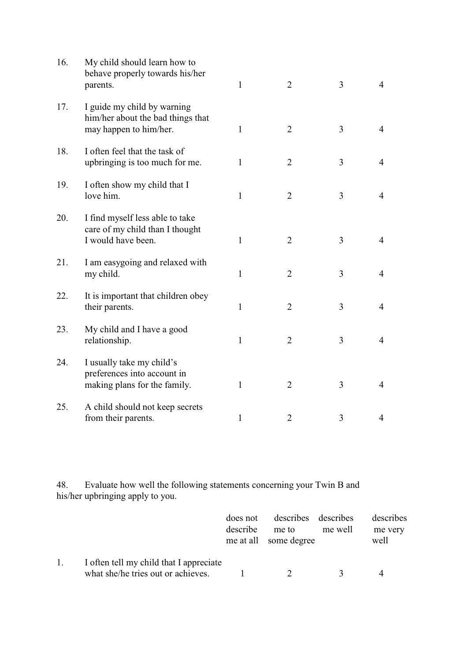| 16. | My child should learn how to<br>behave properly towards his/her<br>parents.                | $\mathbf{1}$ | $\overline{2}$ | 3              | $\overline{4}$ |
|-----|--------------------------------------------------------------------------------------------|--------------|----------------|----------------|----------------|
| 17. | I guide my child by warning<br>him/her about the bad things that<br>may happen to him/her. | $\mathbf{1}$ | $\overline{2}$ | 3              | $\overline{4}$ |
| 18. | I often feel that the task of<br>upbringing is too much for me.                            | $\mathbf{1}$ | $\overline{2}$ | 3              | $\overline{4}$ |
| 19. | I often show my child that I<br>love him.                                                  | $\mathbf{1}$ | $\overline{2}$ | 3              | $\overline{4}$ |
| 20. | I find myself less able to take<br>care of my child than I thought<br>I would have been.   | 1            | $\overline{2}$ | 3              | $\overline{4}$ |
| 21. | I am easygoing and relaxed with<br>my child.                                               | $\mathbf{1}$ | $\overline{2}$ | 3              | $\overline{4}$ |
| 22. | It is important that children obey<br>their parents.                                       | $\mathbf{1}$ | $\overline{2}$ | 3              | $\overline{4}$ |
| 23. | My child and I have a good<br>relationship.                                                | $\mathbf{1}$ | $\overline{2}$ | $\overline{3}$ | $\overline{4}$ |
| 24. | I usually take my child's<br>preferences into account in<br>making plans for the family.   | $\mathbf{1}$ | $\overline{2}$ | 3              | $\overline{4}$ |
| 25. | A child should not keep secrets<br>from their parents.                                     | $\mathbf{1}$ | $\overline{2}$ | 3              | $\overline{4}$ |

48. Evaluate how well the following statements concerning your Twin B and his/her upbringing apply to you.

|                |                                         | does not | describes describes   |         | describes |
|----------------|-----------------------------------------|----------|-----------------------|---------|-----------|
|                |                                         | describe | me to                 | me well | me very   |
|                |                                         |          | me at all some degree |         | well      |
|                |                                         |          |                       |         |           |
| $\mathbf{1}$ . | I often tell my child that I appreciate |          |                       |         |           |
|                | what she/he tries out or achieves.      |          | $\mathcal{D}$         |         |           |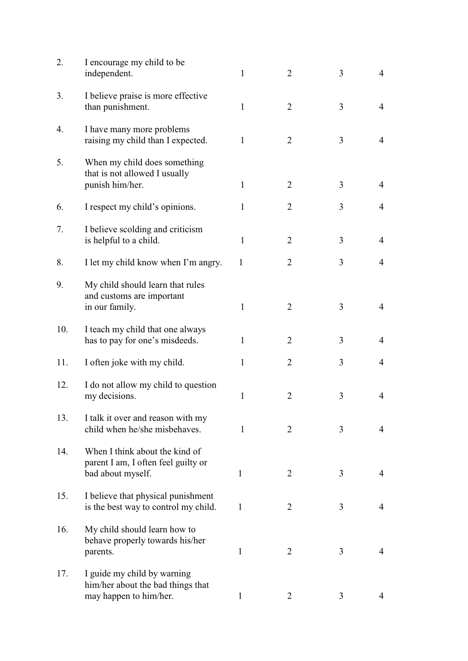| 2.  | I encourage my child to be<br>independent.                                                 | $\mathbf{1}$ | $\overline{2}$ | 3 | $\overline{4}$ |
|-----|--------------------------------------------------------------------------------------------|--------------|----------------|---|----------------|
| 3.  | I believe praise is more effective<br>than punishment.                                     | 1            | $\overline{2}$ | 3 | $\overline{4}$ |
| 4.  | I have many more problems<br>raising my child than I expected.                             | 1            | $\overline{2}$ | 3 | $\overline{4}$ |
| 5.  | When my child does something<br>that is not allowed I usually                              |              |                |   |                |
|     | punish him/her.                                                                            | 1            | $\overline{2}$ | 3 | 4              |
| 6.  | I respect my child's opinions.                                                             | 1            | $\overline{2}$ | 3 | 4              |
| 7.  | I believe scolding and criticism<br>is helpful to a child.                                 | $\mathbf{1}$ | $\overline{2}$ | 3 | $\overline{4}$ |
| 8.  | I let my child know when I'm angry.                                                        | 1            | $\overline{2}$ | 3 | $\overline{4}$ |
| 9.  | My child should learn that rules<br>and customs are important<br>in our family.            | 1            | $\overline{2}$ | 3 | 4              |
| 10. | I teach my child that one always<br>has to pay for one's misdeeds.                         | 1            | $\overline{2}$ | 3 | $\overline{4}$ |
| 11. | I often joke with my child.                                                                | 1            | $\overline{2}$ | 3 | $\overline{4}$ |
| 12. | I do not allow my child to question<br>my decisions.                                       | 1            | $\overline{2}$ | 3 | 4              |
| 13. | I talk it over and reason with my<br>child when he/she misbehaves.                         | 1            | $\overline{2}$ | 3 | 4              |
| 14. | When I think about the kind of<br>parent I am, I often feel guilty or<br>bad about myself. | $\mathbf{1}$ | $\overline{2}$ | 3 | $\overline{4}$ |
| 15. | I believe that physical punishment<br>is the best way to control my child.                 | $\mathbf{1}$ | $\overline{2}$ | 3 | $\overline{4}$ |
| 16. | My child should learn how to<br>behave properly towards his/her<br>parents.                | $\mathbf{1}$ | $\overline{2}$ | 3 | 4              |
| 17. | I guide my child by warning<br>him/her about the bad things that<br>may happen to him/her. | $\mathbf{1}$ | 2              | 3 | 4              |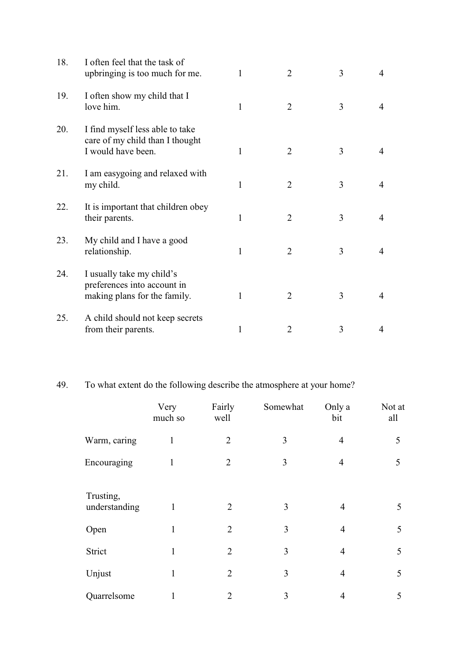| 18. | I often feel that the task of<br>upbringing is too much for me.                          | 1            | $\overline{2}$ | 3 | 4 |
|-----|------------------------------------------------------------------------------------------|--------------|----------------|---|---|
| 19. | I often show my child that I<br>love him.                                                | 1            | $\overline{2}$ | 3 | 4 |
| 20. | I find myself less able to take<br>care of my child than I thought<br>I would have been. | 1            | $\overline{2}$ | 3 | 4 |
| 21. | I am easygoing and relaxed with<br>my child.                                             | $\mathbf{1}$ | $\overline{2}$ | 3 | 4 |
| 22. | It is important that children obey<br>their parents.                                     | $\mathbf{1}$ | $\overline{2}$ | 3 | 4 |
| 23. | My child and I have a good<br>relationship.                                              | $\mathbf{1}$ | $\overline{2}$ | 3 | 4 |
| 24. | I usually take my child's<br>preferences into account in<br>making plans for the family. | 1            | $\overline{2}$ | 3 | 4 |
| 25. | A child should not keep secrets<br>from their parents.                                   | $\mathbf{1}$ | $\overline{2}$ | 3 | 4 |

# 49. To what extent do the following describe the atmosphere at your home?

|                            | Very<br>much so | Fairly<br>well | Somewhat | Only a<br>bit  | Not at<br>all |
|----------------------------|-----------------|----------------|----------|----------------|---------------|
| Warm, caring               | 1               | $\overline{2}$ | 3        | $\overline{4}$ | 5             |
| Encouraging                | 1               | $\overline{2}$ | 3        | $\overline{4}$ | 5             |
| Trusting,<br>understanding | $\mathbf{1}$    | $\overline{2}$ | 3        | 4              | 5             |
| Open                       | 1               | $\overline{2}$ | 3        | $\overline{4}$ | 5             |
| Strict                     | $\mathbf{1}$    | $\overline{2}$ | 3        | $\overline{4}$ | 5             |
| Unjust                     | $\mathbf{1}$    | $\overline{2}$ | 3        | $\overline{4}$ | 5             |
| Quarrelsome                | 1               | 2              | 3        | 4              | 5             |